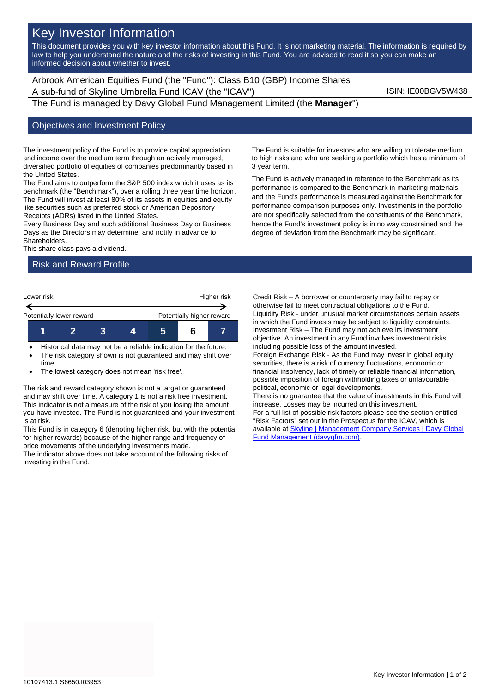# Key Investor Information

This document provides you with key investor information about this Fund. It is not marketing material. The information is required by law to help you understand the nature and the risks of investing in this Fund. You are advised to read it so you can make an informed decision about whether to invest.

Arbrook American Equities Fund (the "Fund"): Class B10 (GBP) Income Shares A sub-fund of Skyline Umbrella Fund ICAV (the "ICAV") ISIN: IE00BGV5W438

The Fund is managed by Davy Global Fund Management Limited (the **Manager**")

#### Objectives and Investment Policy

The investment policy of the Fund is to provide capital appreciation and income over the medium term through an actively managed, diversified portfolio of equities of companies predominantly based in the United States.

The Fund aims to outperform the S&P 500 index which it uses as its benchmark (the "Benchmark"), over a rolling three year time horizon. The Fund will invest at least 80% of its assets in equities and equity like securities such as preferred stock or American Depository Receipts (ADRs) listed in the United States.

Every Business Day and such additional Business Day or Business Days as the Directors may determine, and notify in advance to Shareholders.

This share class pays a dividend.

# Risk and Reward Profile



- Historical data may not be a reliable indication for the future. The risk category shown is not guaranteed and may shift over
- time. The lowest category does not mean 'risk free'.

The risk and reward category shown is not a target or guaranteed and may shift over time. A category 1 is not a risk free investment. This indicator is not a measure of the risk of you losing the amount you have invested. The Fund is not guaranteed and your investment is at risk.

This Fund is in category 6 (denoting higher risk, but with the potential for higher rewards) because of the higher range and frequency of price movements of the underlying investments made.

The indicator above does not take account of the following risks of investing in the Fund.

The Fund is suitable for investors who are willing to tolerate medium to high risks and who are seeking a portfolio which has a minimum of 3 year term.

The Fund is actively managed in reference to the Benchmark as its performance is compared to the Benchmark in marketing materials and the Fund's performance is measured against the Benchmark for performance comparison purposes only. Investments in the portfolio are not specifically selected from the constituents of the Benchmark, hence the Fund's investment policy is in no way constrained and the degree of deviation from the Benchmark may be significant.

Credit Risk – A borrower or counterparty may fail to repay or otherwise fail to meet contractual obligations to the Fund. Liquidity Risk - under unusual market circumstances certain assets in which the Fund invests may be subject to liquidity constraints. Investment Risk – The Fund may not achieve its investment objective. An investment in any Fund involves investment risks including possible loss of the amount invested. Foreign Exchange Risk - As the Fund may invest in global equity securities, there is a risk of currency fluctuations, economic or financial insolvency, lack of timely or reliable financial information, possible imposition of foreign withholding taxes or unfavourable political, economic or legal developments. There is no guarantee that the value of investments in this Fund will increase. Losses may be incurred on this investment. For a full list of possible risk factors please see the section entitled "Risk Factors" set out in the Prospectus for the ICAV, which is available at **Skyline | Management Company Services | Davy Global** [Fund Management \(davygfm.com\).](https://www.davygfm.com/funds-factsheets/management-company-services/ireland/skyline.html)